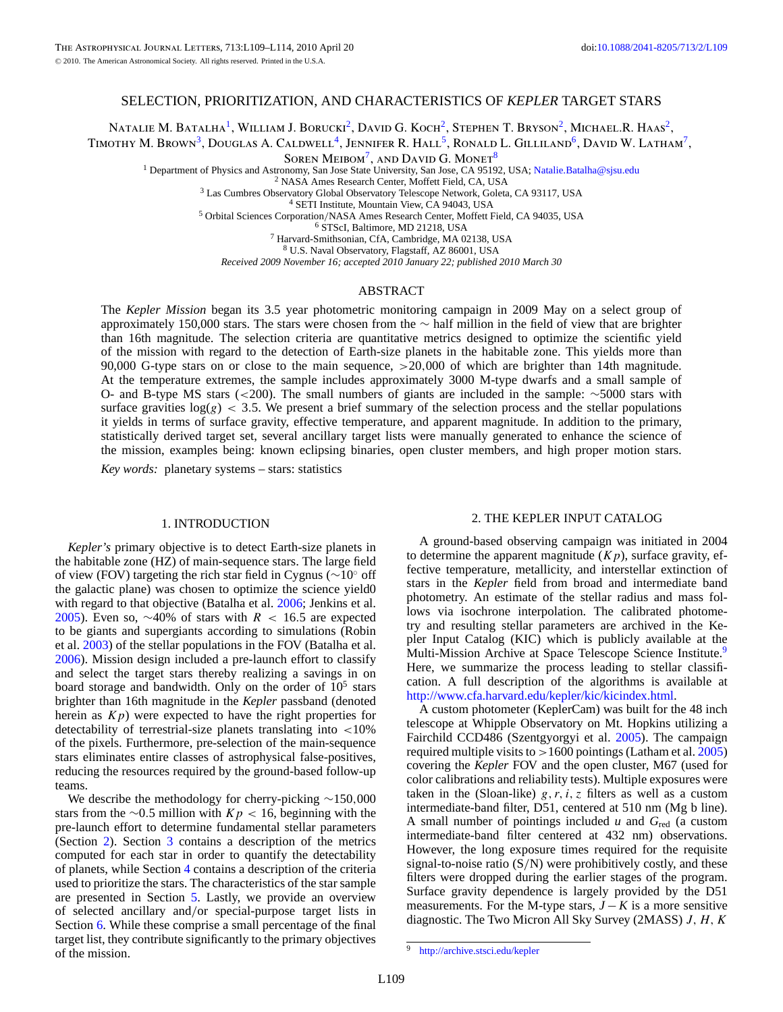# SELECTION, PRIORITIZATION, AND CHARACTERISTICS OF *KEPLER* TARGET STARS

NATALIE M. BATALHA<sup>1</sup>, WILLIAM J. BORUCKI<sup>2</sup>, DAVID G. KOCH<sup>2</sup>, STEPHEN T. BRYSON<sup>2</sup>, MICHAEL.R. HAAS<sup>2</sup>,

TIMOTHY M. BROWN<sup>3</sup>, DOUGLAS A. CALDWELL<sup>4</sup>, JENNIFER R. HALL<sup>5</sup>, RONALD L. GILLILAND<sup>6</sup>, DAVID W. LATHAM<sup>7</sup>,

SOREN MEIBOM<sup>7</sup>, AND DAVID G. MONET<sup>8</sup>

<sup>1</sup> Department of Physics and Astronomy, San Jose State University, San Jose, CA 95192, USA; Natalie.Batalha@sjsu.edu<br>
<sup>2</sup> NASA Ames Research Center, Moffett Field, CA, USA<br>
<sup>3</sup> Las Cumbres Observatory Global Observatory

<sup>8</sup> U.S. Naval Observatory, Flagstaff, AZ 86001, USA

*Received 2009 November 16; accepted 2010 January 22; published 2010 March 30*

#### ABSTRACT

The *Kepler Mission* began its 3.5 year photometric monitoring campaign in 2009 May on a select group of approximately 150,000 stars. The stars were chosen from the ∼ half million in the field of view that are brighter than 16th magnitude. The selection criteria are quantitative metrics designed to optimize the scientific yield of the mission with regard to the detection of Earth-size planets in the habitable zone. This yields more than 90,000 G-type stars on or close to the main sequence, *>*20*,*000 of which are brighter than 14th magnitude. At the temperature extremes, the sample includes approximately 3000 M-type dwarfs and a small sample of O- and B-type MS stars (*<*200). The small numbers of giants are included in the sample: ∼5000 stars with surface gravities  $log(g)$  < 3.5. We present a brief summary of the selection process and the stellar populations it yields in terms of surface gravity, effective temperature, and apparent magnitude. In addition to the primary, statistically derived target set, several ancillary target lists were manually generated to enhance the science of the mission, examples being: known eclipsing binaries, open cluster members, and high proper motion stars.

*Key words:* planetary systems – stars: statistics

#### 1. INTRODUCTION

*Kepler's* primary objective is to detect Earth-size planets in the habitable zone (HZ) of main-sequence stars. The large field of view (FOV) targeting the rich star field in Cygnus (∼10◦ off the galactic plane) was chosen to optimize the science yield0 with regard to that objective (Batalha et al. 2006; Jenkins et al. 2005). Even so, ~40% of stars with *R* < 16.5 are expected to be giants and supergiants according to simulations (Robin et al. 2003) of the stellar populations in the FOV (Batalha et al. 2006). Mission design included a pre-launch effort to classify and select the target stars thereby realizing a savings in on board storage and bandwidth. Only on the order of  $10<sup>5</sup>$  stars brighter than 16th magnitude in the *Kepler* passband (denoted herein as  $Kp$ ) were expected to have the right properties for detectability of terrestrial-size planets translating into *<*10% of the pixels. Furthermore, pre-selection of the main-sequence stars eliminates entire classes of astrophysical false-positives, reducing the resources required by the ground-based follow-up teams.

We describe the methodology for cherry-picking ∼150*,*000 stars from the ∼0*.*5 million with *Kp <* 16, beginning with the pre-launch effort to determine fundamental stellar parameters (Section 2). Section 3 contains a description of the metrics computed for each star in order to quantify the detectability of planets, while Section 4 contains a description of the criteria used to prioritize the stars. The characteristics of the star sample are presented in Section 5. Lastly, we provide an overview of selected ancillary and*/*or special-purpose target lists in Section 6. While these comprise a small percentage of the final target list, they contribute significantly to the primary objectives of the mission.

### 2. THE KEPLER INPUT CATALOG

A ground-based observing campaign was initiated in 2004 to determine the apparent magnitude  $(Kp)$ , surface gravity, effective temperature, metallicity, and interstellar extinction of stars in the *Kepler* field from broad and intermediate band photometry. An estimate of the stellar radius and mass follows via isochrone interpolation. The calibrated photometry and resulting stellar parameters are archived in the Kepler Input Catalog (KIC) which is publicly available at the Multi-Mission Archive at Space Telescope Science Institute.<sup>9</sup> Here, we summarize the process leading to stellar classification. A full description of the algorithms is available at http://www.cfa.harvard.edu/kepler/kic/kicindex.html.

A custom photometer (KeplerCam) was built for the 48 inch telescope at Whipple Observatory on Mt. Hopkins utilizing a Fairchild CCD486 (Szentgyorgyi et al. 2005). The campaign required multiple visits to *>*1600 pointings (Latham et al. 2005) covering the *Kepler* FOV and the open cluster, M67 (used for color calibrations and reliability tests). Multiple exposures were taken in the (Sloan-like)  $g, r, i, z$  filters as well as a custom intermediate-band filter, D51, centered at 510 nm (Mg b line). A small number of pointings included *u* and *G*red (a custom intermediate-band filter centered at 432 nm) observations. However, the long exposure times required for the requisite signal-to-noise ratio (S*/*N) were prohibitively costly, and these filters were dropped during the earlier stages of the program. Surface gravity dependence is largely provided by the D51 measurements. For the M-type stars,  $J - K$  is a more sensitive diagnostic. The Two Micron All Sky Survey (2MASS) *J, H, K* 

 $\overline{9}$  http://archive.stsci.edu/kepler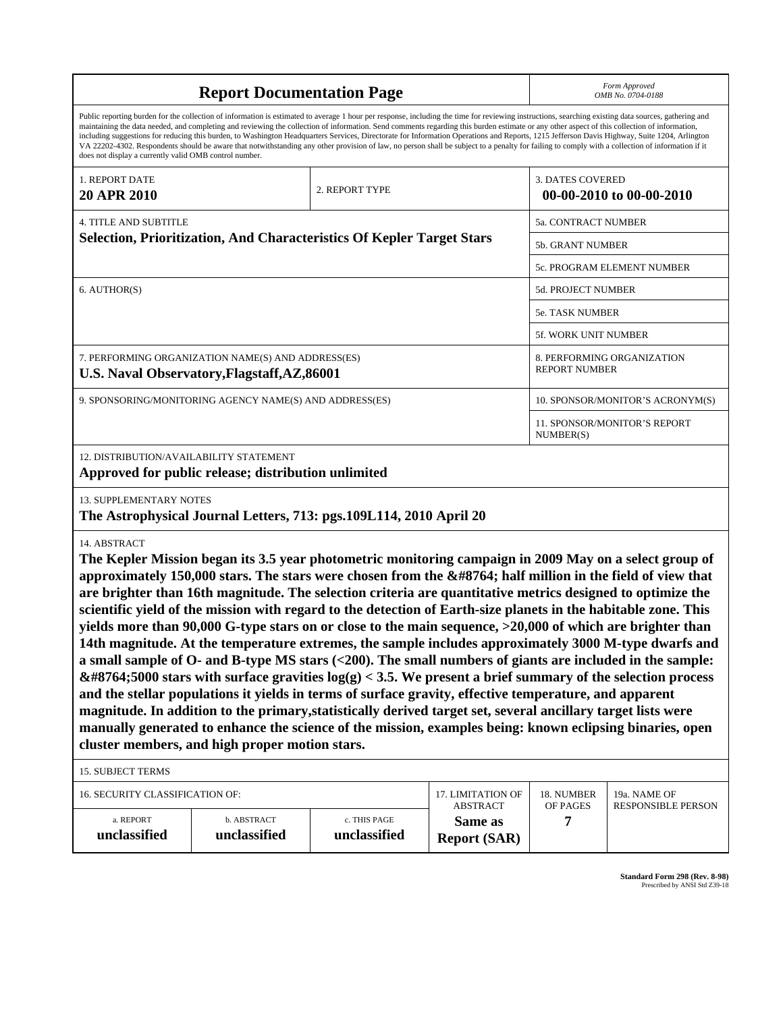|                                                                                                                                                                                                                                                                                                                                                                                                                                                                                                                                                                                                                                                                                                                                                                                                                                                                                                                                                                                                                                                                                                                                                                                                                                                                                      | <b>Report Documentation Page</b>                                                                     | Form Approved<br>OMB No. 0704-0188 |                                                    |                                  |                                           |  |  |  |
|--------------------------------------------------------------------------------------------------------------------------------------------------------------------------------------------------------------------------------------------------------------------------------------------------------------------------------------------------------------------------------------------------------------------------------------------------------------------------------------------------------------------------------------------------------------------------------------------------------------------------------------------------------------------------------------------------------------------------------------------------------------------------------------------------------------------------------------------------------------------------------------------------------------------------------------------------------------------------------------------------------------------------------------------------------------------------------------------------------------------------------------------------------------------------------------------------------------------------------------------------------------------------------------|------------------------------------------------------------------------------------------------------|------------------------------------|----------------------------------------------------|----------------------------------|-------------------------------------------|--|--|--|
| Public reporting burden for the collection of information is estimated to average 1 hour per response, including the time for reviewing instructions, searching existing data sources, gathering and<br>maintaining the data needed, and completing and reviewing the collection of information. Send comments regarding this burden estimate or any other aspect of this collection of information,<br>including suggestions for reducing this burden, to Washington Headquarters Services, Directorate for Information Operations and Reports, 1215 Jefferson Davis Highway, Suite 1204, Arlington<br>VA 22202-4302. Respondents should be aware that notwithstanding any other provision of law, no person shall be subject to a penalty for failing to comply with a collection of information if it<br>does not display a currently valid OMB control number.                                                                                                                                                                                                                                                                                                                                                                                                                   |                                                                                                      |                                    |                                                    |                                  |                                           |  |  |  |
| 1. REPORT DATE<br>20 APR 2010                                                                                                                                                                                                                                                                                                                                                                                                                                                                                                                                                                                                                                                                                                                                                                                                                                                                                                                                                                                                                                                                                                                                                                                                                                                        |                                                                                                      | 2. REPORT TYPE                     |                                                    | <b>3. DATES COVERED</b>          | 00-00-2010 to 00-00-2010                  |  |  |  |
| <b>4. TITLE AND SUBTITLE</b>                                                                                                                                                                                                                                                                                                                                                                                                                                                                                                                                                                                                                                                                                                                                                                                                                                                                                                                                                                                                                                                                                                                                                                                                                                                         |                                                                                                      |                                    |                                                    | 5a. CONTRACT NUMBER              |                                           |  |  |  |
|                                                                                                                                                                                                                                                                                                                                                                                                                                                                                                                                                                                                                                                                                                                                                                                                                                                                                                                                                                                                                                                                                                                                                                                                                                                                                      | Selection, Prioritization, And Characteristics Of Kepler Target Stars                                |                                    |                                                    | <b>5b. GRANT NUMBER</b>          |                                           |  |  |  |
|                                                                                                                                                                                                                                                                                                                                                                                                                                                                                                                                                                                                                                                                                                                                                                                                                                                                                                                                                                                                                                                                                                                                                                                                                                                                                      |                                                                                                      |                                    |                                                    |                                  | 5c. PROGRAM ELEMENT NUMBER                |  |  |  |
| 6. AUTHOR(S)                                                                                                                                                                                                                                                                                                                                                                                                                                                                                                                                                                                                                                                                                                                                                                                                                                                                                                                                                                                                                                                                                                                                                                                                                                                                         |                                                                                                      |                                    |                                                    | 5d. PROJECT NUMBER               |                                           |  |  |  |
|                                                                                                                                                                                                                                                                                                                                                                                                                                                                                                                                                                                                                                                                                                                                                                                                                                                                                                                                                                                                                                                                                                                                                                                                                                                                                      |                                                                                                      | 5e. TASK NUMBER                    |                                                    |                                  |                                           |  |  |  |
|                                                                                                                                                                                                                                                                                                                                                                                                                                                                                                                                                                                                                                                                                                                                                                                                                                                                                                                                                                                                                                                                                                                                                                                                                                                                                      |                                                                                                      |                                    |                                                    | 5f. WORK UNIT NUMBER             |                                           |  |  |  |
| 7. PERFORMING ORGANIZATION NAME(S) AND ADDRESS(ES)<br>U.S. Naval Observatory, Flagstaff, AZ, 86001                                                                                                                                                                                                                                                                                                                                                                                                                                                                                                                                                                                                                                                                                                                                                                                                                                                                                                                                                                                                                                                                                                                                                                                   |                                                                                                      |                                    | 8. PERFORMING ORGANIZATION<br><b>REPORT NUMBER</b> |                                  |                                           |  |  |  |
| 9. SPONSORING/MONITORING AGENCY NAME(S) AND ADDRESS(ES)                                                                                                                                                                                                                                                                                                                                                                                                                                                                                                                                                                                                                                                                                                                                                                                                                                                                                                                                                                                                                                                                                                                                                                                                                              |                                                                                                      |                                    |                                                    | 10. SPONSOR/MONITOR'S ACRONYM(S) |                                           |  |  |  |
|                                                                                                                                                                                                                                                                                                                                                                                                                                                                                                                                                                                                                                                                                                                                                                                                                                                                                                                                                                                                                                                                                                                                                                                                                                                                                      |                                                                                                      |                                    | 11. SPONSOR/MONITOR'S REPORT<br>NUMBER(S)          |                                  |                                           |  |  |  |
| 12. DISTRIBUTION/AVAILABILITY STATEMENT                                                                                                                                                                                                                                                                                                                                                                                                                                                                                                                                                                                                                                                                                                                                                                                                                                                                                                                                                                                                                                                                                                                                                                                                                                              | Approved for public release; distribution unlimited                                                  |                                    |                                                    |                                  |                                           |  |  |  |
|                                                                                                                                                                                                                                                                                                                                                                                                                                                                                                                                                                                                                                                                                                                                                                                                                                                                                                                                                                                                                                                                                                                                                                                                                                                                                      | <b>13. SUPPLEMENTARY NOTES</b><br>The Astrophysical Journal Letters, 713: pgs.109L114, 2010 April 20 |                                    |                                                    |                                  |                                           |  |  |  |
| 14. ABSTRACT<br>The Kepler Mission began its 3.5 year photometric monitoring campaign in 2009 May on a select group of<br>approximately 150,000 stars. The stars were chosen from the $∼$ ; half million in the field of view that<br>are brighter than 16th magnitude. The selection criteria are quantitative metrics designed to optimize the<br>scientific yield of the mission with regard to the detection of Earth-size planets in the habitable zone. This<br>yields more than 90,000 G-type stars on or close to the main sequence, >20,000 of which are brighter than<br>14th magnitude. At the temperature extremes, the sample includes approximately 3000 M-type dwarfs and<br>a small sample of $O$ - and B-type MS stars $(200). The small numbers of giants are included in the sample:∼5000 stars with surface gravities log(g) < 3.5. We present a brief summary of the selection processand the stellar populations it yields in terms of surface gravity, effective temperature, and apparentmagnitude. In addition to the primary, statistically derived target set, several ancillary target lists weremanually generated to enhance the science of the mission, examples being: known eclipsing binaries, opencluster members, and high proper motion stars.$ |                                                                                                      |                                    |                                                    |                                  |                                           |  |  |  |
| <b>15. SUBJECT TERMS</b>                                                                                                                                                                                                                                                                                                                                                                                                                                                                                                                                                                                                                                                                                                                                                                                                                                                                                                                                                                                                                                                                                                                                                                                                                                                             |                                                                                                      |                                    |                                                    |                                  |                                           |  |  |  |
| 16. SECURITY CLASSIFICATION OF:                                                                                                                                                                                                                                                                                                                                                                                                                                                                                                                                                                                                                                                                                                                                                                                                                                                                                                                                                                                                                                                                                                                                                                                                                                                      |                                                                                                      |                                    | 17. LIMITATION OF<br><b>ABSTRACT</b>               | 18. NUMBER<br>OF PAGES           | 19a. NAME OF<br><b>RESPONSIBLE PERSON</b> |  |  |  |
| a. REPORT<br>unclassified                                                                                                                                                                                                                                                                                                                                                                                                                                                                                                                                                                                                                                                                                                                                                                                                                                                                                                                                                                                                                                                                                                                                                                                                                                                            | b. ABSTRACT<br>unclassified                                                                          | c. THIS PAGE<br>unclassified       | Same as<br><b>Report (SAR)</b>                     | 7                                |                                           |  |  |  |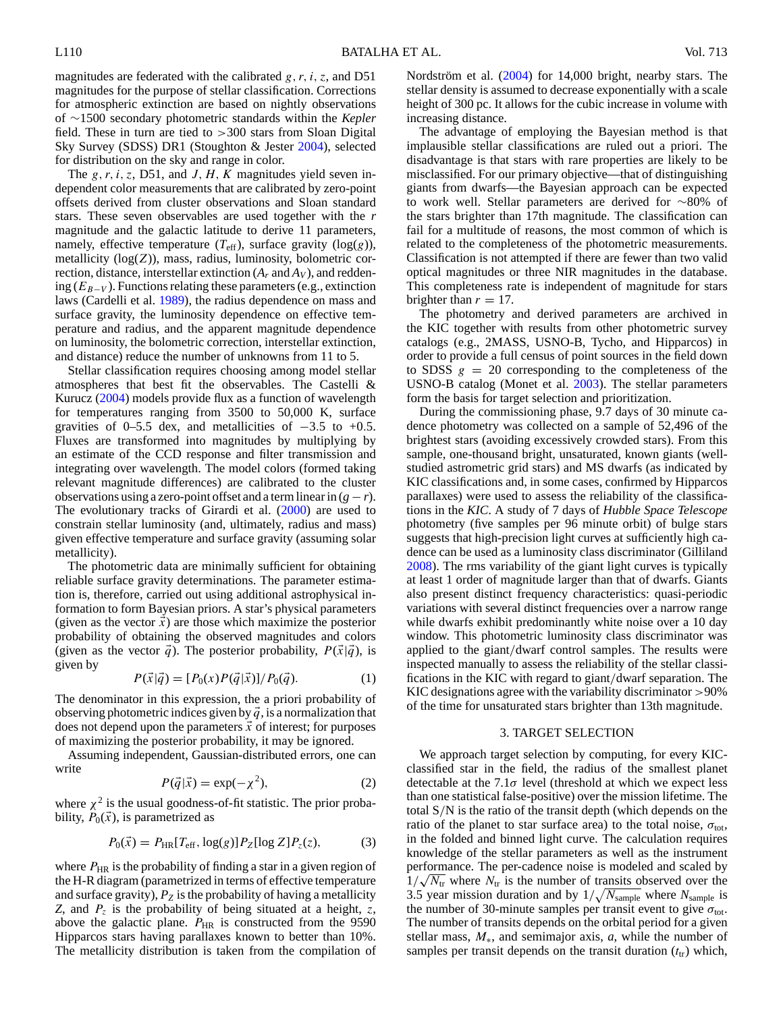magnitudes are federated with the calibrated *g, r, i, z*, and D51 magnitudes for the purpose of stellar classification. Corrections for atmospheric extinction are based on nightly observations of ∼1500 secondary photometric standards within the *Kepler* field. These in turn are tied to *>*300 stars from Sloan Digital Sky Survey (SDSS) DR1 (Stoughton & Jester 2004), selected for distribution on the sky and range in color.

The *g, r, i, z, D51, and J, H, K* magnitudes yield seven independent color measurements that are calibrated by zero-point offsets derived from cluster observations and Sloan standard stars. These seven observables are used together with the *r* magnitude and the galactic latitude to derive 11 parameters, namely, effective temperature  $(T_{\text{eff}})$ , surface gravity  $(\log(g))$ , metallicity  $(log(Z))$ , mass, radius, luminosity, bolometric correction, distance, interstellar extinction  $(A_r \text{ and } A_V)$ , and reddening  $(E_{B-V})$ . Functions relating these parameters (e.g., extinction laws (Cardelli et al. 1989), the radius dependence on mass and surface gravity, the luminosity dependence on effective temperature and radius, and the apparent magnitude dependence on luminosity, the bolometric correction, interstellar extinction, and distance) reduce the number of unknowns from 11 to 5.

Stellar classification requires choosing among model stellar atmospheres that best fit the observables. The Castelli & Kurucz (2004) models provide flux as a function of wavelength for temperatures ranging from 3500 to 50,000 K, surface gravities of  $0-5.5$  dex, and metallicities of  $-3.5$  to  $+0.5$ . Fluxes are transformed into magnitudes by multiplying by an estimate of the CCD response and filter transmission and integrating over wavelength. The model colors (formed taking relevant magnitude differences) are calibrated to the cluster observations using a zero-point offset and a term linear in  $(g - r)$ . The evolutionary tracks of Girardi et al. (2000) are used to constrain stellar luminosity (and, ultimately, radius and mass) given effective temperature and surface gravity (assuming solar metallicity).

The photometric data are minimally sufficient for obtaining reliable surface gravity determinations. The parameter estimation is, therefore, carried out using additional astrophysical information to form Bayesian priors. A star's physical parameters (given as the vector  $\vec{x}$ ) are those which maximize the posterior probability of obtaining the observed magnitudes and colors (given as the vector  $\vec{q}$ ). The posterior probability,  $P(\vec{x}|\vec{q})$ , is given by

$$
P(\vec{x}|\vec{q}) = [P_0(x)P(\vec{q}|\vec{x})]/P_0(\vec{q}).
$$
 (1)

The denominator in this expression, the a priori probability of observing photometric indices given by  $\vec{q}$ , is a normalization that does not depend upon the parameters  $\vec{x}$  of interest; for purposes of maximizing the posterior probability, it may be ignored.

Assuming independent, Gaussian-distributed errors, one can write

$$
P(\vec{q}|\vec{x}) = \exp(-\chi^2),\tag{2}
$$

where  $\chi^2$  is the usual goodness-of-fit statistic. The prior probability,  $P_0(\vec{x})$ , is parametrized as

$$
P_0(\vec{x}) = P_{\text{HR}}[T_{\text{eff}}, \log(g)] P_Z[\log Z] P_z(z), \tag{3}
$$

where  $P_{HR}$  is the probability of finding a star in a given region of the H-R diagram (parametrized in terms of effective temperature and surface gravity),  $P_Z$  is the probability of having a metallicity *Z*, and  $P_z$  is the probability of being situated at a height, *z*, above the galactic plane.  $P_{HR}$  is constructed from the 9590 Hipparcos stars having parallaxes known to better than 10%. The metallicity distribution is taken from the compilation of Nordström et al. (2004) for 14,000 bright, nearby stars. The stellar density is assumed to decrease exponentially with a scale height of 300 pc. It allows for the cubic increase in volume with increasing distance.

The advantage of employing the Bayesian method is that implausible stellar classifications are ruled out a priori. The disadvantage is that stars with rare properties are likely to be misclassified. For our primary objective—that of distinguishing giants from dwarfs—the Bayesian approach can be expected to work well. Stellar parameters are derived for ∼80% of the stars brighter than 17th magnitude. The classification can fail for a multitude of reasons, the most common of which is related to the completeness of the photometric measurements. Classification is not attempted if there are fewer than two valid optical magnitudes or three NIR magnitudes in the database. This completeness rate is independent of magnitude for stars brighter than  $r = 17$ .

The photometry and derived parameters are archived in the KIC together with results from other photometric survey catalogs (e.g., 2MASS, USNO-B, Tycho, and Hipparcos) in order to provide a full census of point sources in the field down to SDSS  $g = 20$  corresponding to the completeness of the USNO-B catalog (Monet et al. 2003). The stellar parameters form the basis for target selection and prioritization.

During the commissioning phase, 9.7 days of 30 minute cadence photometry was collected on a sample of 52,496 of the brightest stars (avoiding excessively crowded stars). From this sample, one-thousand bright, unsaturated, known giants (wellstudied astrometric grid stars) and MS dwarfs (as indicated by KIC classifications and, in some cases, confirmed by Hipparcos parallaxes) were used to assess the reliability of the classifications in the *KIC*. A study of 7 days of *Hubble Space Telescope* photometry (five samples per 96 minute orbit) of bulge stars suggests that high-precision light curves at sufficiently high cadence can be used as a luminosity class discriminator (Gilliland 2008). The rms variability of the giant light curves is typically at least 1 order of magnitude larger than that of dwarfs. Giants also present distinct frequency characteristics: quasi-periodic variations with several distinct frequencies over a narrow range while dwarfs exhibit predominantly white noise over a 10 day window. This photometric luminosity class discriminator was applied to the giant*/*dwarf control samples. The results were inspected manually to assess the reliability of the stellar classifications in the KIC with regard to giant*/*dwarf separation. The KIC designations agree with the variability discriminator *>*90% of the time for unsaturated stars brighter than 13th magnitude.

#### 3. TARGET SELECTION

We approach target selection by computing, for every KICclassified star in the field, the radius of the smallest planet detectable at the  $7.1\sigma$  level (threshold at which we expect less than one statistical false-positive) over the mission lifetime. The total S*/*N is the ratio of the transit depth (which depends on the ratio of the planet to star surface area) to the total noise,  $\sigma_{\text{tot}}$ , in the folded and binned light curve. The calculation requires knowledge of the stellar parameters as well as the instrument performance. The per-cadence noise is modeled and scaled by  $1/\sqrt{N_{\text{tr}}}$  where  $N_{\text{tr}}$  is the number of transits observed over the 3.5 year mission duration and by  $1/\sqrt{N_{\text{sample}}}$  where  $N_{\text{sample}}$  is the number of 30-minute samples per transit event to give  $\sigma_{\text{tot}}$ . The number of transits depends on the orbital period for a given stellar mass, *M*∗, and semimajor axis, *a*, while the number of samples per transit depends on the transit duration  $(t<sub>tr</sub>)$  which,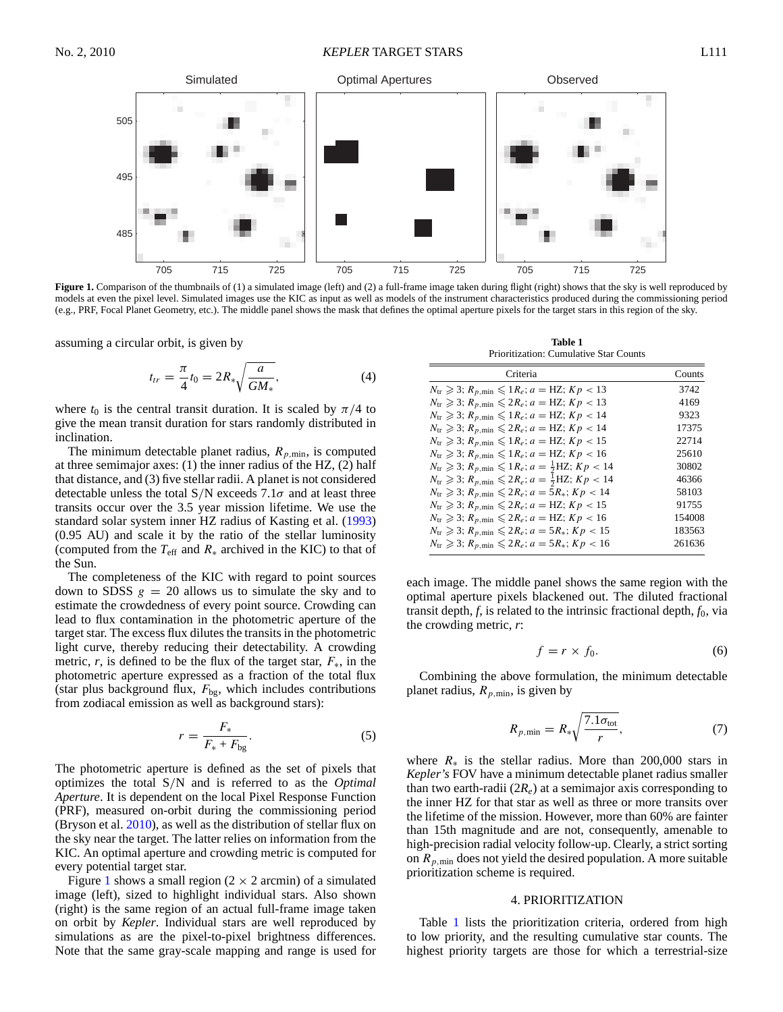### No. 2, 2010 *KEPLER* TARGET STARS L111



Figure 1. Comparison of the thumbnails of (1) a simulated image (left) and (2) a full-frame image taken during flight (right) shows that the sky is well reproduced by models at even the pixel level. Simulated images use the KIC as input as well as models of the instrument characteristics produced during the commissioning period (e.g., PRF, Focal Planet Geometry, etc.). The middle panel shows the mask that defines the optimal aperture pixels for the target stars in this region of the sky.

assuming a circular orbit, is given by

$$
t_{tr} = \frac{\pi}{4} t_0 = 2R_* \sqrt{\frac{a}{GM_*}},
$$
\n(4)

where  $t_0$  is the central transit duration. It is scaled by  $\pi/4$  to give the mean transit duration for stars randomly distributed in inclination.

The minimum detectable planet radius,  $R_{p,\text{min}}$ , is computed at three semimajor axes: (1) the inner radius of the HZ, (2) half that distance, and (3) five stellar radii. A planet is not considered detectable unless the total S*/*N exceeds 7.1*σ* and at least three transits occur over the 3.5 year mission lifetime. We use the standard solar system inner HZ radius of Kasting et al. (1993) (0.95 AU) and scale it by the ratio of the stellar luminosity (computed from the  $T_{\text{eff}}$  and  $R_*$  archived in the KIC) to that of the Sun.

The completeness of the KIC with regard to point sources down to SDSS  $g = 20$  allows us to simulate the sky and to estimate the crowdedness of every point source. Crowding can lead to flux contamination in the photometric aperture of the target star. The excess flux dilutes the transits in the photometric light curve, thereby reducing their detectability. A crowding metric, *r*, is defined to be the flux of the target star,  $F_*$ , in the photometric aperture expressed as a fraction of the total flux (star plus background flux,  $F_{bg}$ , which includes contributions from zodiacal emission as well as background stars):

$$
r = \frac{F_*}{F_* + F_{\text{bg}}}.\tag{5}
$$

The photometric aperture is defined as the set of pixels that optimizes the total S*/*N and is referred to as the *Optimal Aperture*. It is dependent on the local Pixel Response Function (PRF), measured on-orbit during the commissioning period (Bryson et al. 2010), as well as the distribution of stellar flux on the sky near the target. The latter relies on information from the KIC. An optimal aperture and crowding metric is computed for every potential target star.

Figure 1 shows a small region ( $2 \times 2$  arcmin) of a simulated image (left), sized to highlight individual stars. Also shown (right) is the same region of an actual full-frame image taken on orbit by *Kepler*. Individual stars are well reproduced by simulations as are the pixel-to-pixel brightness differences. Note that the same gray-scale mapping and range is used for

**Table 1** Prioritization: Cumulative Star Counts

| Criteria                                                                                           | Counts |
|----------------------------------------------------------------------------------------------------|--------|
| $N_{\text{tr}} \geqslant 3$ ; $R_{p,\text{min}} \leqslant 1 R_e$ ; $a = \text{HZ}$ ; $Kp < 13$     | 3742   |
| $N_{\text{tr}} \geqslant 3$ ; $R_{p,\text{min}} \leqslant 2R_e$ ; $a = \text{HZ}$ ; $Kp < 13$      | 4169   |
| $N_{\text{tr}} \geqslant 3$ ; $R_{p,\text{min}} \leqslant 1R_e$ ; $a = \text{HZ}$ ; $Kp < 14$      | 9323   |
| $N_{\text{tr}} \geqslant 3$ ; $R_{p,\text{min}} \leqslant 2R_e$ ; $a = \text{HZ}$ ; $Kp < 14$      | 17375  |
| $N_{\text{tr}} \geqslant 3$ ; $R_{p,\text{min}} \leqslant 1R_e$ ; $a = \text{HZ}$ ; $Kp < 15$      | 22714  |
| $N_{\text{tr}} \geqslant 3$ ; $R_{p,\text{min}} \leqslant 1R_e$ ; $a = \text{HZ}$ ; $Kp < 16$      | 25610  |
| $N_{\text{tr}} \geqslant 3$ ; $R_{p,\text{min}} \leqslant 1 R_e$ ; $a = \frac{1}{2}$ HZ; $Kp < 14$ | 30802  |
| $N_{\text{tr}} \geqslant 3$ ; $R_{p,\text{min}} \leqslant 2R_e$ ; $a = \frac{1}{2}$ HZ; $Kp < 14$  | 46366  |
| $N_{\text{tr}} \geqslant 3$ ; $R_{p,\text{min}} \leqslant 2R_e$ ; $a = 5R_*$ ; $Kp < 14$           | 58103  |
| $N_{\text{tr}} \geqslant 3$ ; $R_{p,\text{min}} \leqslant 2R_e$ ; $a = \text{HZ}$ ; $Kp < 15$      | 91755  |
| $N_{\text{tr}} \geqslant 3$ ; $R_{p,\text{min}} \leqslant 2R_e$ ; $a = \text{HZ}$ ; $Kp < 16$      | 154008 |
| $N_{\text{tr}} \geq 3$ ; $R_{p,\text{min}} \leq 2R_e$ ; $a = 5R_*$ ; $Kp < 15$                     | 183563 |
| $N_{\text{tr}} \geq 3$ ; $R_{p,\text{min}} \leq 2R_e$ ; $a = 5R_*$ ; $Kp < 16$                     | 261636 |
|                                                                                                    |        |

each image. The middle panel shows the same region with the optimal aperture pixels blackened out. The diluted fractional transit depth,  $f$ , is related to the intrinsic fractional depth,  $f_0$ , via the crowding metric, *r*:

$$
f = r \times f_0. \tag{6}
$$

Combining the above formulation, the minimum detectable planet radius,  $R_{p,\text{min}}$ , is given by

$$
R_{p,\min} = R_* \sqrt{\frac{7.1\sigma_{\text{tot}}}{r}},\tag{7}
$$

where  $R_*$  is the stellar radius. More than 200,000 stars in *Kepler's* FOV have a minimum detectable planet radius smaller than two earth-radii  $(2R_e)$  at a semimajor axis corresponding to the inner HZ for that star as well as three or more transits over the lifetime of the mission. However, more than 60% are fainter than 15th magnitude and are not, consequently, amenable to high-precision radial velocity follow-up. Clearly, a strict sorting on  $R_{p,\text{min}}$  does not yield the desired population. A more suitable prioritization scheme is required.

### 4. PRIORITIZATION

Table 1 lists the prioritization criteria, ordered from high to low priority, and the resulting cumulative star counts. The highest priority targets are those for which a terrestrial-size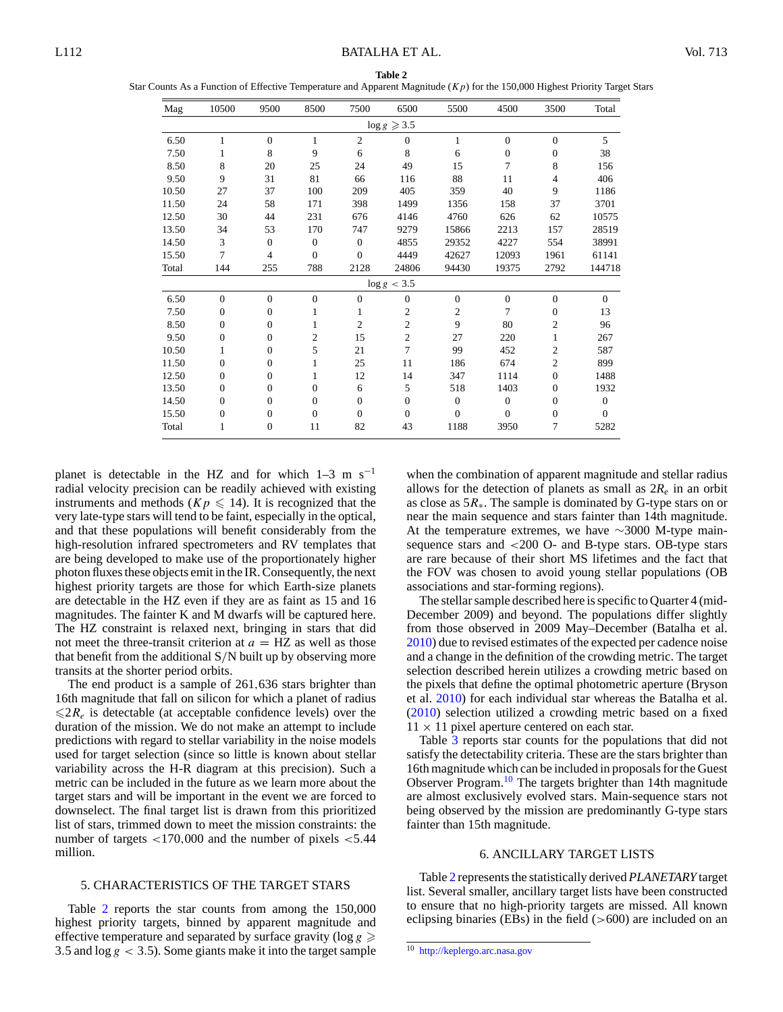**Table 2** Star Counts As a Function of Effective Temperature and Apparent Magnitude (*Kp*) for the 150,000 Highest Priority Target Stars

| Mag   | 10500            | 9500           | 8500           | 7500           | 6500                   | 5500             | 4500           | 3500           | Total        |
|-------|------------------|----------------|----------------|----------------|------------------------|------------------|----------------|----------------|--------------|
|       |                  |                |                |                | $\log g \geqslant 3.5$ |                  |                |                |              |
| 6.50  | $\mathbf{1}$     | $\theta$       | 1              | $\overline{2}$ | $\mathbf{0}$           | 1                | $\overline{0}$ | $\overline{0}$ | 5            |
| 7.50  | 1                | 8              | 9              | 6              | 8                      | 6                | $\overline{0}$ | $\overline{0}$ | 38           |
| 8.50  | 8                | 20             | 25             | 24             | 49                     | 15               | 7              | 8              | 156          |
| 9.50  | 9                | 31             | 81             | 66             | 116                    | 88               | 11             | 4              | 406          |
| 10.50 | 27               | 37             | 100            | 209            | 405                    | 359              | 40             | 9              | 1186         |
| 11.50 | 24               | 58             | 171            | 398            | 1499                   | 1356             | 158            | 37             | 3701         |
| 12.50 | 30               | 44             | 231            | 676            | 4146                   | 4760             | 626            | 62             | 10575        |
| 13.50 | 34               | 53             | 170            | 747            | 9279                   | 15866            | 2213           | 157            | 28519        |
| 14.50 | 3                | $\mathbf{0}$   | $\overline{0}$ | $\mathbf{0}$   | 4855                   | 29352            | 4227           | 554            | 38991        |
| 15.50 | 7                | $\overline{4}$ | $\overline{0}$ | $\overline{0}$ | 4449                   | 42627            | 12093          | 1961           | 61141        |
| Total | 144              | 255            | 788            | 2128           | 24806                  | 94430            | 19375          | 2792           | 144718       |
|       |                  |                |                |                | $\log g < 3.5$         |                  |                |                |              |
| 6.50  | $\overline{0}$   | $\theta$       | $\theta$       | $\theta$       | $\mathbf{0}$           | $\boldsymbol{0}$ | $\overline{0}$ | $\overline{0}$ | $\Omega$     |
| 7.50  | $\overline{0}$   | $\mathbf{0}$   | 1              | 1              | $\overline{c}$         | $\mathfrak{2}$   | 7              | $\mathbf{0}$   | 13           |
| 8.50  | $\overline{0}$   | $\theta$       | 1              | $\overline{c}$ | $\overline{c}$         | 9                | 80             | $\overline{c}$ | 96           |
| 9.50  | $\overline{0}$   | $\overline{0}$ | $\overline{2}$ | 15             | $\overline{c}$         | 27               | 220            | 1              | 267          |
| 10.50 | 1                | $\mathbf{0}$   | 5              | 21             | 7                      | 99               | 452            | $\overline{c}$ | 587          |
| 11.50 | $\overline{0}$   | $\mathbf{0}$   | 1              | 25             | 11                     | 186              | 674            | $\overline{c}$ | 899          |
| 12.50 | $\overline{0}$   | $\mathbf{0}$   | 1              | 12             | 14                     | 347              | 1114           | $\mathbf{0}$   | 1488         |
| 13.50 | $\overline{0}$   | $\mathbf{0}$   | $\overline{0}$ | 6              | 5                      | 518              | 1403           | $\mathbf{0}$   | 1932         |
| 14.50 | $\overline{0}$   | $\mathbf{0}$   | $\overline{0}$ | $\overline{0}$ | $\overline{0}$         | $\mathbf{0}$     | $\overline{0}$ | $\mathbf{0}$   | $\mathbf{0}$ |
| 15.50 | $\boldsymbol{0}$ | $\mathbf{0}$   | $\overline{0}$ | $\overline{0}$ | $\mathbf{0}$           | $\overline{0}$   | $\overline{0}$ | $\mathbf{0}$   | $\mathbf{0}$ |
| Total | 1                | $\mathbf{0}$   | 11             | 82             | 43                     | 1188             | 3950           | 7              | 5282         |

planet is detectable in the HZ and for which  $1-3$  m s<sup>-1</sup> radial velocity precision can be readily achieved with existing instruments and methods ( $Kp \le 14$ ). It is recognized that the very late-type stars will tend to be faint, especially in the optical, and that these populations will benefit considerably from the high-resolution infrared spectrometers and RV templates that are being developed to make use of the proportionately higher photon fluxes these objects emit in the IR. Consequently, the next highest priority targets are those for which Earth-size planets are detectable in the HZ even if they are as faint as 15 and 16 magnitudes. The fainter K and M dwarfs will be captured here. The HZ constraint is relaxed next, bringing in stars that did not meet the three-transit criterion at  $a = HZ$  as well as those that benefit from the additional S*/*N built up by observing more transits at the shorter period orbits.

The end product is a sample of 261*,*636 stars brighter than 16th magnitude that fall on silicon for which a planet of radius  $\leq 2R_e$  is detectable (at acceptable confidence levels) over the duration of the mission. We do not make an attempt to include predictions with regard to stellar variability in the noise models used for target selection (since so little is known about stellar variability across the H-R diagram at this precision). Such a metric can be included in the future as we learn more about the target stars and will be important in the event we are forced to downselect. The final target list is drawn from this prioritized list of stars, trimmed down to meet the mission constraints: the number of targets *<*170*,*000 and the number of pixels *<*5*.*44 million.

# 5. CHARACTERISTICS OF THE TARGET STARS

Table 2 reports the star counts from among the 150,000 highest priority targets, binned by apparent magnitude and effective temperature and separated by surface gravity ( $log g \ge$ 3*.*5 and log *g <* 3*.*5). Some giants make it into the target sample

when the combination of apparent magnitude and stellar radius allows for the detection of planets as small as  $2R_e$  in an orbit as close as 5*R*∗. The sample is dominated by G-type stars on or near the main sequence and stars fainter than 14th magnitude. At the temperature extremes, we have ∼3000 M-type mainsequence stars and *<*200 O- and B-type stars. OB-type stars are rare because of their short MS lifetimes and the fact that the FOV was chosen to avoid young stellar populations (OB associations and star-forming regions).

The stellar sample described here is specific to Quarter 4 (mid-December 2009) and beyond. The populations differ slightly from those observed in 2009 May–December (Batalha et al. 2010) due to revised estimates of the expected per cadence noise and a change in the definition of the crowding metric. The target selection described herein utilizes a crowding metric based on the pixels that define the optimal photometric aperture (Bryson et al. 2010) for each individual star whereas the Batalha et al. (2010) selection utilized a crowding metric based on a fixed  $11 \times 11$  pixel aperture centered on each star.

Table 3 reports star counts for the populations that did not satisfy the detectability criteria. These are the stars brighter than 16th magnitude which can be included in proposals for the Guest Observer Program.<sup>10</sup> The targets brighter than 14th magnitude are almost exclusively evolved stars. Main-sequence stars not being observed by the mission are predominantly G-type stars fainter than 15th magnitude.

# 6. ANCILLARY TARGET LISTS

Table 2 represents the statistically derived *PLANETARY* target list. Several smaller, ancillary target lists have been constructed to ensure that no high-priority targets are missed. All known eclipsing binaries (EBs) in the field (*>*600) are included on an

 $\overline{10}$  http://keplergo.arc.nasa.gov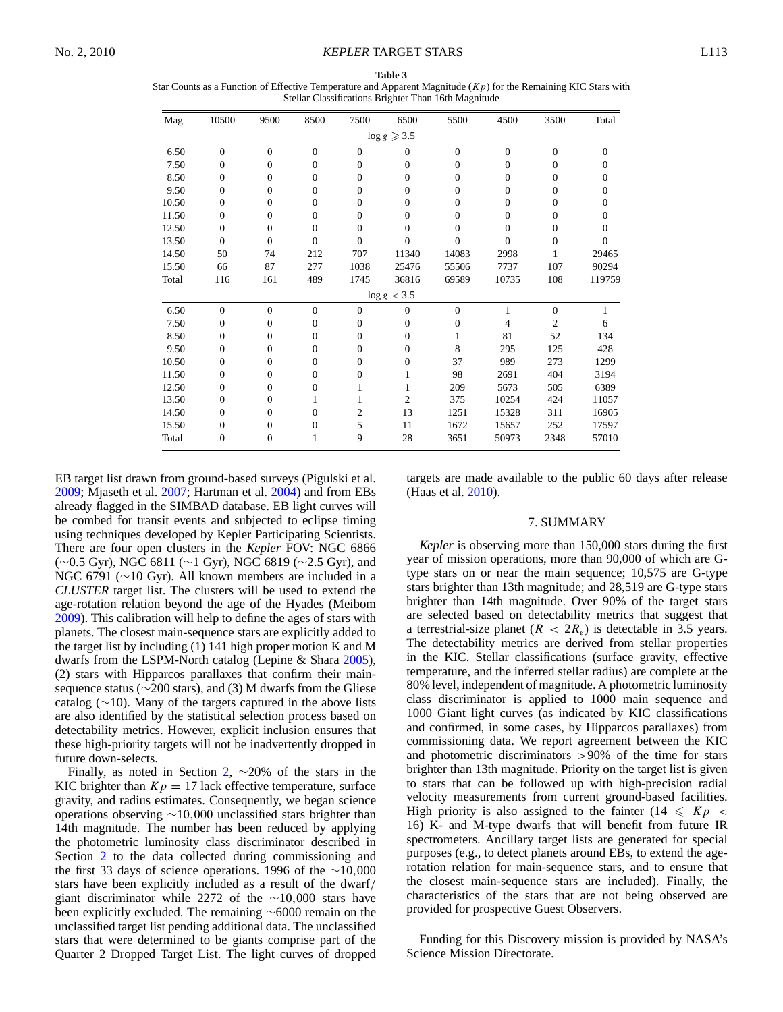Star Counts as a Function of Effective Temperature and Apparent Magnitude (*Kp*) for the Remaining KIC Stars with Stellar Classifications Brighter Than 16th Magnitude

| Mag   | 10500          | 9500           | 8500           | 7500             | 6500                   | 5500           | 4500           | 3500           | Total          |
|-------|----------------|----------------|----------------|------------------|------------------------|----------------|----------------|----------------|----------------|
|       |                |                |                |                  | $\log g \geqslant 3.5$ |                |                |                |                |
| 6.50  | $\mathbf{0}$   | $\mathbf{0}$   | $\Omega$       | $\mathbf{0}$     | $\mathbf{0}$           | $\mathbf{0}$   | $\overline{0}$ | $\mathbf{0}$   | $\overline{0}$ |
| 7.50  | $\overline{0}$ | $\mathbf{0}$   | $\overline{0}$ | $\overline{0}$   | 0                      | 0              | $\overline{0}$ | $\overline{0}$ | 0              |
| 8.50  | $\Omega$       | $\Omega$       | $\Omega$       | $\boldsymbol{0}$ | 0                      | 0              | $\overline{0}$ | $\theta$       | 0              |
| 9.50  | $\overline{0}$ | $\mathbf{0}$   | $\Omega$       | 0                | 0                      | $\overline{0}$ | 0              | 0              | 0              |
| 10.50 | $\overline{0}$ | $\mathbf{0}$   | $\overline{0}$ | $\overline{0}$   | $\overline{0}$         | 0              | $\overline{0}$ | $\overline{0}$ | $\mathbf{0}$   |
| 11.50 | $\Omega$       | $\mathbf{0}$   | $\Omega$       | 0                | 0                      | $\overline{0}$ | 0              | 0              | 0              |
| 12.50 | $\Omega$       | $\mathbf{0}$   | $\Omega$       | $\overline{0}$   | 0                      | $\overline{0}$ | 0              | $\overline{0}$ | 0              |
| 13.50 | $\theta$       | $\theta$       | $\Omega$       | $\overline{0}$   | $\theta$               | $\theta$       | $\theta$       | $\theta$       | 0              |
| 14.50 | 50             | 74             | 212            | 707              | 11340                  | 14083          | 2998           |                | 29465          |
| 15.50 | 66             | 87             | 277            | 1038             | 25476                  | 55506          | 7737           | 107            | 90294          |
| Total | 116            | 161            | 489            | 1745             | 36816                  | 69589          | 10735          | 108            | 119759         |
|       |                |                |                |                  | $\log g < 3.5$         |                |                |                |                |
| 6.50  | $\theta$       | $\overline{0}$ | $\theta$       | $\overline{0}$   | $\mathbf{0}$           | $\overline{0}$ | 1              | $\overline{0}$ |                |
| 7.50  | $\Omega$       | $\mathbf{0}$   | $\Omega$       | $\boldsymbol{0}$ | $\mathbf{0}$           | $\mathbf 0$    | 4              | $\overline{c}$ | 6              |
| 8.50  | $\overline{0}$ | $\mathbf{0}$   | $\overline{0}$ | $\overline{0}$   | 0                      |                | 81             | 52             | 134            |
| 9.50  | $\Omega$       | $\mathbf{0}$   | $\Omega$       | $\overline{0}$   | 0                      | 8              | 295            | 125            | 428            |
| 10.50 | $\Omega$       | $\mathbf{0}$   | $\Omega$       | $\overline{0}$   | 0                      | 37             | 989            | 273            | 1299           |
| 11.50 | $\overline{0}$ | $\mathbf{0}$   | $\Omega$       | 0                | 1                      | 98             | 2691           | 404            | 3194           |
| 12.50 | $\Omega$       | $\mathbf{0}$   | $\Omega$       | 1                | 1                      | 209            | 5673           | 505            | 6389           |
| 13.50 | $\overline{0}$ | $\mathbf{0}$   | 1              |                  | 2                      | 375            | 10254          | 424            | 11057          |
| 14.50 | $\Omega$       | $\mathbf{0}$   | $\Omega$       | 2                | 13                     | 1251           | 15328          | 311            | 16905          |
| 15.50 | $\Omega$       | $\mathbf{0}$   | $\Omega$       | 5                | 11                     | 1672           | 15657          | 252            | 17597          |
| Total | $\overline{0}$ | $\mathbf{0}$   | 1              | 9                | 28                     | 3651           | 50973          | 2348           | 57010          |

EB target list drawn from ground-based surveys (Pigulski et al. 2009; Mjaseth et al. 2007; Hartman et al. 2004) and from EBs already flagged in the SIMBAD database. EB light curves will be combed for transit events and subjected to eclipse timing using techniques developed by Kepler Participating Scientists. There are four open clusters in the *Kepler* FOV: NGC 6866 (∼0.5 Gyr), NGC 6811 (∼1 Gyr), NGC 6819 (∼2.5 Gyr), and NGC 6791 (∼10 Gyr). All known members are included in a *CLUSTER* target list. The clusters will be used to extend the age-rotation relation beyond the age of the Hyades (Meibom 2009). This calibration will help to define the ages of stars with planets. The closest main-sequence stars are explicitly added to the target list by including (1) 141 high proper motion K and M dwarfs from the LSPM-North catalog (Lepine & Shara 2005), (2) stars with Hipparcos parallaxes that confirm their mainsequence status (∼200 stars), and (3) M dwarfs from the Gliese catalog (∼10). Many of the targets captured in the above lists are also identified by the statistical selection process based on detectability metrics. However, explicit inclusion ensures that these high-priority targets will not be inadvertently dropped in future down-selects.

Finally, as noted in Section 2,  $\sim$ 20% of the stars in the KIC brighter than  $Kp = 17$  lack effective temperature, surface gravity, and radius estimates. Consequently, we began science operations observing ∼10*,*000 unclassified stars brighter than 14th magnitude. The number has been reduced by applying the photometric luminosity class discriminator described in Section 2 to the data collected during commissioning and the first 33 days of science operations. 1996 of the ∼10*,*000 stars have been explicitly included as a result of the dwarf*/* giant discriminator while 2272 of the ∼10*,*000 stars have been explicitly excluded. The remaining ∼6000 remain on the unclassified target list pending additional data. The unclassified stars that were determined to be giants comprise part of the Quarter 2 Dropped Target List. The light curves of dropped

targets are made available to the public 60 days after release (Haas et al. 2010).

#### 7. SUMMARY

*Kepler* is observing more than 150,000 stars during the first year of mission operations, more than 90,000 of which are Gtype stars on or near the main sequence; 10,575 are G-type stars brighter than 13th magnitude; and 28,519 are G-type stars brighter than 14th magnitude. Over 90% of the target stars are selected based on detectability metrics that suggest that a terrestrial-size planet  $(R < 2R_e)$  is detectable in 3.5 years. The detectability metrics are derived from stellar properties in the KIC. Stellar classifications (surface gravity, effective temperature, and the inferred stellar radius) are complete at the 80% level, independent of magnitude. A photometric luminosity class discriminator is applied to 1000 main sequence and 1000 Giant light curves (as indicated by KIC classifications and confirmed, in some cases, by Hipparcos parallaxes) from commissioning data. We report agreement between the KIC and photometric discriminators *>*90% of the time for stars brighter than 13th magnitude. Priority on the target list is given to stars that can be followed up with high-precision radial velocity measurements from current ground-based facilities. High priority is also assigned to the fainter  $(14 \leqslant Kp <$ 16) K- and M-type dwarfs that will benefit from future IR spectrometers. Ancillary target lists are generated for special purposes (e.g., to detect planets around EBs, to extend the agerotation relation for main-sequence stars, and to ensure that the closest main-sequence stars are included). Finally, the characteristics of the stars that are not being observed are provided for prospective Guest Observers.

Funding for this Discovery mission is provided by NASA's Science Mission Directorate.